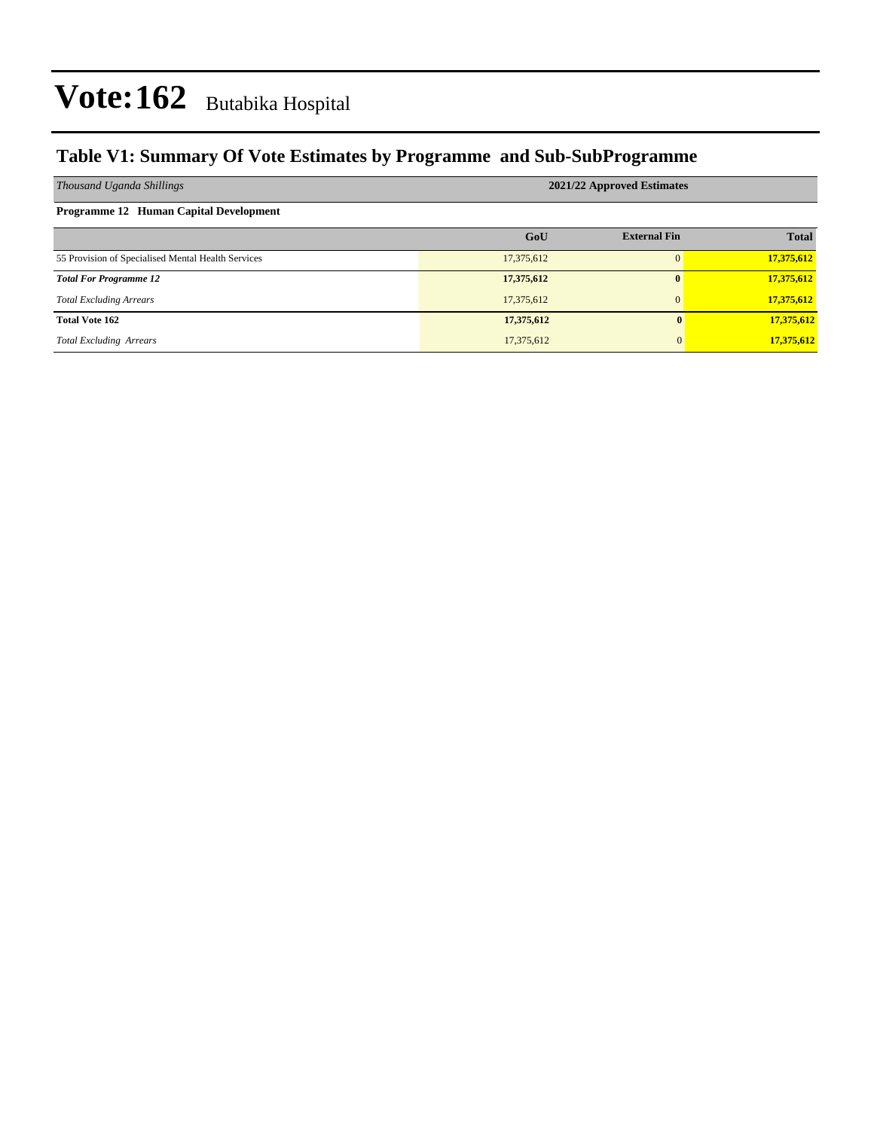### **Table V1: Summary Of Vote Estimates by Programme and Sub-SubProgramme**

| Thousand Uganda Shillings                          | 2021/22 Approved Estimates |                     |              |  |  |  |  |
|----------------------------------------------------|----------------------------|---------------------|--------------|--|--|--|--|
| Programme 12 Human Capital Development             |                            |                     |              |  |  |  |  |
|                                                    | GoU                        | <b>External Fin</b> | <b>Total</b> |  |  |  |  |
| 55 Provision of Specialised Mental Health Services | 17,375,612                 |                     | 17,375,612   |  |  |  |  |
| <b>Total For Programme 12</b>                      | 17,375,612                 |                     | 17,375,612   |  |  |  |  |
| <b>Total Excluding Arrears</b>                     | 17,375,612                 |                     | 17,375,612   |  |  |  |  |
| <b>Total Vote 162</b>                              | 17,375,612                 | $\bf{0}$            | 17,375,612   |  |  |  |  |
| <b>Total Excluding Arrears</b>                     | 17,375,612                 | $\Omega$            | 17,375,612   |  |  |  |  |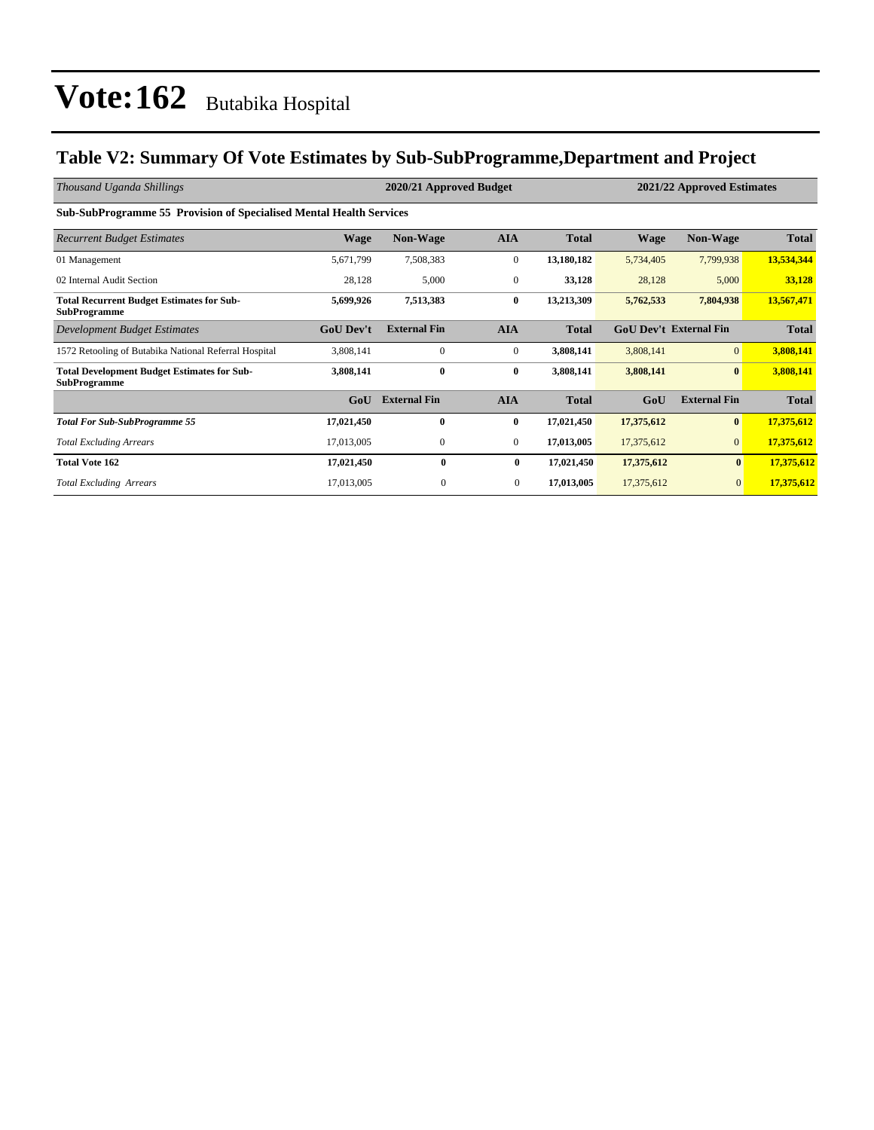### **Table V2: Summary Of Vote Estimates by Sub-SubProgramme,Department and Project**

| Thousand Uganda Shillings                                                  | 2020/21 Approved Budget |                     |                |              |             | 2021/22 Approved Estimates    |              |  |
|----------------------------------------------------------------------------|-------------------------|---------------------|----------------|--------------|-------------|-------------------------------|--------------|--|
| <b>Sub-SubProgramme 55 Provision of Specialised Mental Health Services</b> |                         |                     |                |              |             |                               |              |  |
| <b>Recurrent Budget Estimates</b>                                          | <b>Wage</b>             | <b>Non-Wage</b>     | <b>AIA</b>     | <b>Total</b> | <b>Wage</b> | <b>Non-Wage</b>               | <b>Total</b> |  |
| 01 Management                                                              | 5,671,799               | 7,508,383           | $\mathbf{0}$   | 13,180,182   | 5,734,405   | 7,799,938                     | 13,534,344   |  |
| 02 Internal Audit Section                                                  | 28,128                  | 5,000               | $\mathbf{0}$   | 33,128       | 28,128      | 5,000                         | 33,128       |  |
| <b>Total Recurrent Budget Estimates for Sub-</b><br><b>SubProgramme</b>    | 5,699,926               | 7,513,383           | $\bf{0}$       | 13,213,309   | 5,762,533   | 7,804,938                     | 13,567,471   |  |
| Development Budget Estimates                                               | <b>GoU Dev't</b>        | <b>External Fin</b> | <b>AIA</b>     | <b>Total</b> |             | <b>GoU Dev't External Fin</b> | <b>Total</b> |  |
| 1572 Retooling of Butabika National Referral Hospital                      | 3,808,141               | $\mathbf{0}$        | $\mathbf{0}$   | 3,808,141    | 3,808,141   | $\mathbf{0}$                  | 3,808,141    |  |
| <b>Total Development Budget Estimates for Sub-</b><br><b>SubProgramme</b>  | 3,808,141               | $\bf{0}$            | $\bf{0}$       | 3,808,141    | 3,808,141   | $\bf{0}$                      | 3,808,141    |  |
|                                                                            | GoU                     | <b>External Fin</b> | <b>AIA</b>     | <b>Total</b> | GoU         | <b>External Fin</b>           | <b>Total</b> |  |
| <b>Total For Sub-SubProgramme 55</b>                                       | 17,021,450              | $\bf{0}$            | $\bf{0}$       | 17,021,450   | 17,375,612  | $\bf{0}$                      | 17,375,612   |  |
| <b>Total Excluding Arrears</b>                                             | 17,013,005              | $\mathbf{0}$        | $\mathbf{0}$   | 17,013,005   | 17,375,612  | $\overline{0}$                | 17,375,612   |  |
| <b>Total Vote 162</b>                                                      | 17,021,450              | $\bf{0}$            | $\bf{0}$       | 17,021,450   | 17,375,612  | $\bf{0}$                      | 17,375,612   |  |
| <b>Total Excluding Arrears</b>                                             | 17,013,005              | $\mathbf{0}$        | $\overline{0}$ | 17,013,005   | 17,375,612  | $\mathbf{0}$                  | 17,375,612   |  |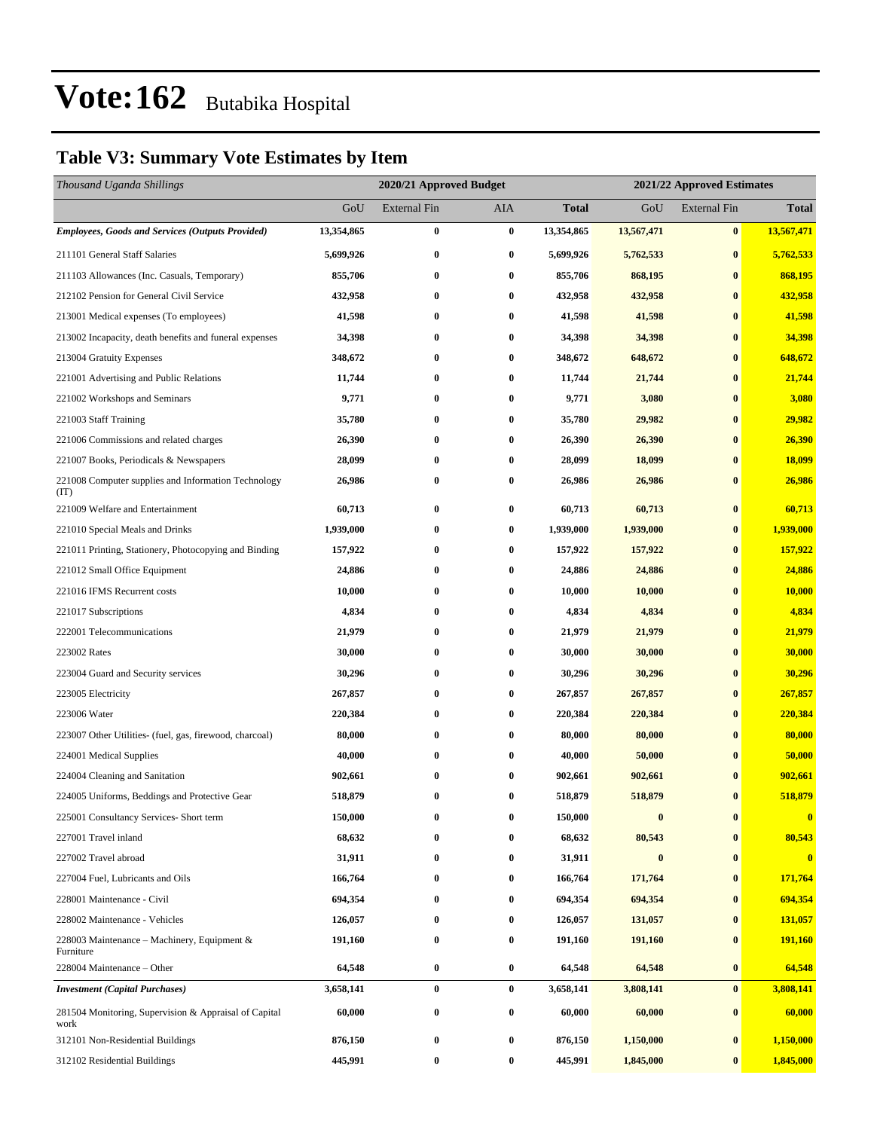### **Table V3: Summary Vote Estimates by Item**

| Thousand Uganda Shillings                                     |            |              | 2020/21 Approved Budget<br>2021/22 Approved Estimates |              |                  |                     |                         |
|---------------------------------------------------------------|------------|--------------|-------------------------------------------------------|--------------|------------------|---------------------|-------------------------|
|                                                               | GoU        | External Fin | AIA                                                   | <b>Total</b> | GoU              | <b>External Fin</b> | <b>Total</b>            |
| <b>Employees, Goods and Services (Outputs Provided)</b>       | 13,354,865 | $\bf{0}$     | $\bf{0}$                                              | 13,354,865   | 13,567,471       | $\bf{0}$            | 13,567,471              |
| 211101 General Staff Salaries                                 | 5,699,926  | $\bf{0}$     | $\bf{0}$                                              | 5,699,926    | 5,762,533        | $\bf{0}$            | 5,762,533               |
| 211103 Allowances (Inc. Casuals, Temporary)                   | 855,706    | $\bf{0}$     | $\bf{0}$                                              | 855,706      | 868,195          | $\bf{0}$            | 868,195                 |
| 212102 Pension for General Civil Service                      | 432,958    | $\bf{0}$     | $\bf{0}$                                              | 432,958      | 432,958          | $\bf{0}$            | 432,958                 |
| 213001 Medical expenses (To employees)                        | 41,598     | $\bf{0}$     | $\bf{0}$                                              | 41,598       | 41,598           | $\bf{0}$            | 41,598                  |
| 213002 Incapacity, death benefits and funeral expenses        | 34,398     | $\bf{0}$     | $\bf{0}$                                              | 34,398       | 34,398           | $\bf{0}$            | 34,398                  |
| 213004 Gratuity Expenses                                      | 348,672    | $\bf{0}$     | $\bf{0}$                                              | 348,672      | 648,672          | $\bf{0}$            | 648,672                 |
| 221001 Advertising and Public Relations                       | 11,744     | $\bf{0}$     | $\bf{0}$                                              | 11,744       | 21,744           | $\bf{0}$            | 21,744                  |
| 221002 Workshops and Seminars                                 | 9,771      | $\bf{0}$     | $\bf{0}$                                              | 9,771        | 3,080            | $\bf{0}$            | 3,080                   |
| 221003 Staff Training                                         | 35,780     | $\bf{0}$     | $\bf{0}$                                              | 35,780       | 29,982           | $\bf{0}$            | 29,982                  |
| 221006 Commissions and related charges                        | 26,390     | $\bf{0}$     | $\bf{0}$                                              | 26,390       | 26,390           | $\bf{0}$            | 26,390                  |
| 221007 Books, Periodicals & Newspapers                        | 28,099     | 0            | $\bf{0}$                                              | 28,099       | 18,099           | $\bf{0}$            | 18,099                  |
| 221008 Computer supplies and Information Technology<br>(TT)   | 26,986     | $\bf{0}$     | $\bf{0}$                                              | 26,986       | 26,986           | $\bf{0}$            | 26,986                  |
| 221009 Welfare and Entertainment                              | 60,713     | $\bf{0}$     | $\bf{0}$                                              | 60,713       | 60,713           | $\bf{0}$            | 60,713                  |
| 221010 Special Meals and Drinks                               | 1,939,000  | $\bf{0}$     | $\bf{0}$                                              | 1,939,000    | 1,939,000        | $\bf{0}$            | 1,939,000               |
| 221011 Printing, Stationery, Photocopying and Binding         | 157,922    | $\bf{0}$     | $\bf{0}$                                              | 157,922      | 157,922          | $\bf{0}$            | 157,922                 |
| 221012 Small Office Equipment                                 | 24,886     | $\bf{0}$     | $\bf{0}$                                              | 24,886       | 24,886           | $\bf{0}$            | 24,886                  |
| 221016 IFMS Recurrent costs                                   | 10,000     | $\bf{0}$     | $\bf{0}$                                              | 10,000       | 10,000           | $\bf{0}$            | 10,000                  |
| 221017 Subscriptions                                          | 4,834      | $\bf{0}$     | $\bf{0}$                                              | 4,834        | 4,834            | $\bf{0}$            | 4,834                   |
| 222001 Telecommunications                                     | 21,979     | $\bf{0}$     | $\bf{0}$                                              | 21,979       | 21,979           | $\bf{0}$            | 21,979                  |
| 223002 Rates                                                  | 30,000     | $\bf{0}$     | $\bf{0}$                                              | 30,000       | 30,000           | $\bf{0}$            | 30,000                  |
| 223004 Guard and Security services                            | 30,296     | $\bf{0}$     | $\bf{0}$                                              | 30,296       | 30,296           | $\bf{0}$            | 30,296                  |
| 223005 Electricity                                            | 267,857    | $\bf{0}$     | $\bf{0}$                                              | 267,857      | 267,857          | $\bf{0}$            | 267,857                 |
| 223006 Water                                                  | 220,384    | $\bf{0}$     | $\bf{0}$                                              | 220,384      | 220,384          | $\bf{0}$            | 220,384                 |
| 223007 Other Utilities- (fuel, gas, firewood, charcoal)       | 80,000     | $\bf{0}$     | $\bf{0}$                                              | 80,000       | 80,000           | $\bf{0}$            | 80,000                  |
| 224001 Medical Supplies                                       | 40,000     | $\bf{0}$     | $\bf{0}$                                              | 40,000       | 50,000           | $\bf{0}$            | 50,000                  |
| 224004 Cleaning and Sanitation                                | 902,661    | $\bf{0}$     | $\bf{0}$                                              | 902,661      | 902,661          | $\bf{0}$            | 902,661                 |
| 224005 Uniforms, Beddings and Protective Gear                 | 518,879    | $\bf{0}$     | $\bf{0}$                                              | 518,879      | 518,879          | $\bf{0}$            | 518,879                 |
| 225001 Consultancy Services- Short term                       | 150,000    | 0            | $\boldsymbol{0}$                                      | 150,000      | $\bf{0}$         | $\boldsymbol{0}$    | $\bf{0}$                |
| 227001 Travel inland                                          | 68,632     | 0            | $\bf{0}$                                              | 68,632       | 80,543           | $\bf{0}$            | 80,543                  |
| 227002 Travel abroad                                          | 31,911     | $\bf{0}$     | $\bf{0}$                                              | 31,911       | $\boldsymbol{0}$ | $\bf{0}$            | $\overline{\mathbf{0}}$ |
| 227004 Fuel, Lubricants and Oils                              | 166,764    | $\bf{0}$     | $\bf{0}$                                              | 166,764      | 171,764          | $\bf{0}$            | 171,764                 |
| 228001 Maintenance - Civil                                    | 694,354    | 0            | $\bf{0}$                                              | 694,354      | 694,354          | $\bf{0}$            | 694,354                 |
| 228002 Maintenance - Vehicles                                 | 126,057    | 0            | $\bf{0}$                                              | 126,057      | 131,057          | $\bf{0}$            | 131,057                 |
| 228003 Maintenance – Machinery, Equipment $\&$<br>Furniture   | 191,160    | $\bf{0}$     | $\bf{0}$                                              | 191,160      | 191,160          | $\bf{0}$            | 191,160                 |
| 228004 Maintenance - Other                                    | 64,548     | $\bf{0}$     | $\bf{0}$                                              | 64,548       | 64,548           | $\bf{0}$            | 64,548                  |
| <b>Investment</b> (Capital Purchases)                         | 3,658,141  | $\bf{0}$     | $\bf{0}$                                              | 3,658,141    | 3,808,141        | $\bf{0}$            | 3,808,141               |
| 281504 Monitoring, Supervision & Appraisal of Capital<br>work | 60,000     | $\bf{0}$     | $\bf{0}$                                              | 60,000       | 60,000           | $\bf{0}$            | 60,000                  |
| 312101 Non-Residential Buildings                              | 876,150    | $\bf{0}$     | $\bf{0}$                                              | 876,150      | 1,150,000        | $\bf{0}$            | 1,150,000               |
| 312102 Residential Buildings                                  | 445,991    | $\bf{0}$     | $\bf{0}$                                              | 445,991      | 1,845,000        | $\bf{0}$            | 1,845,000               |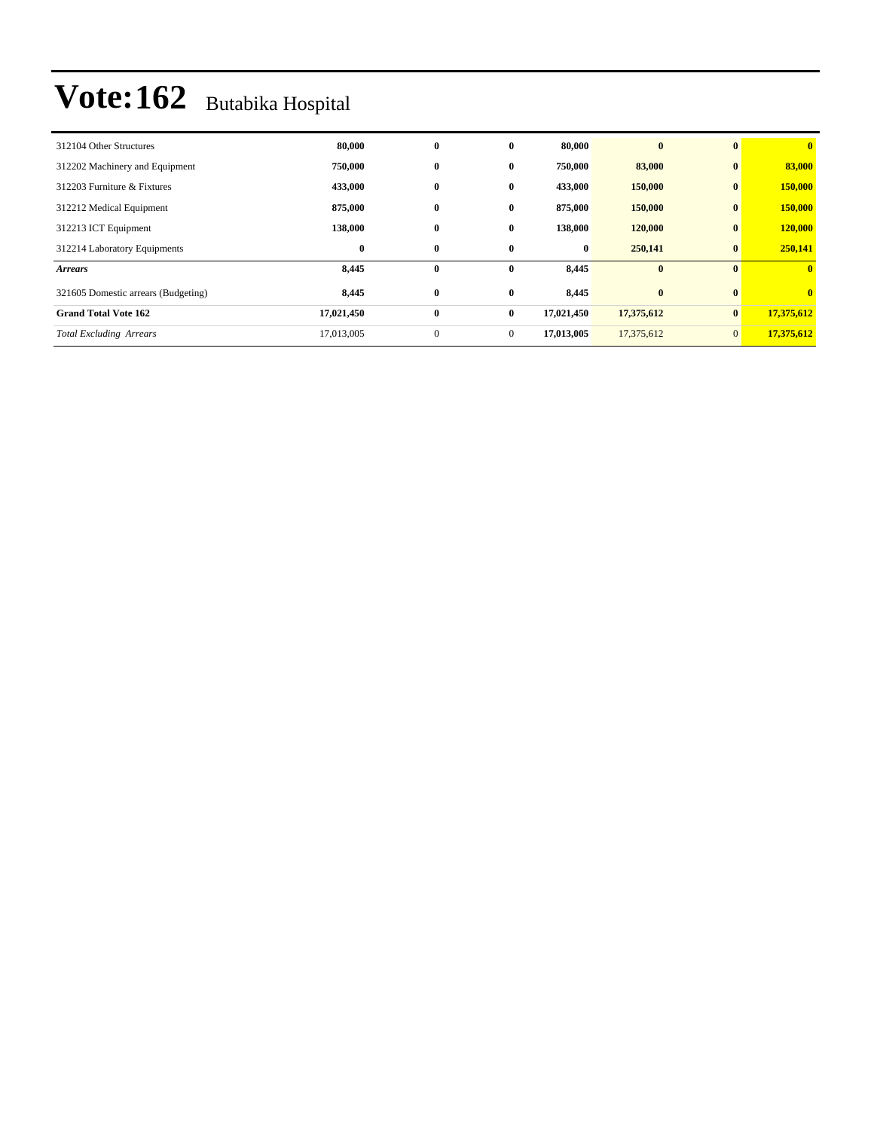| 312104 Other Structures             | 80,000     | $\bf{0}$     | $\bf{0}$     | 80,000     | $\bf{0}$   | $\mathbf{0}$   | $\bf{0}$     |
|-------------------------------------|------------|--------------|--------------|------------|------------|----------------|--------------|
| 312202 Machinery and Equipment      | 750,000    | $\bf{0}$     | $\bf{0}$     | 750,000    | 83,000     | $\bf{0}$       | 83,000       |
| 312203 Furniture & Fixtures         | 433,000    | $\bf{0}$     | $\bf{0}$     | 433,000    | 150,000    | $\bf{0}$       | 150,000      |
| 312212 Medical Equipment            | 875,000    | $\bf{0}$     | $\bf{0}$     | 875,000    | 150,000    | $\bf{0}$       | 150,000      |
| 312213 ICT Equipment                | 138,000    | $\bf{0}$     | $\bf{0}$     | 138,000    | 120,000    | $\bf{0}$       | 120,000      |
| 312214 Laboratory Equipments        | $\bf{0}$   | $\bf{0}$     | $\bf{0}$     | $\bf{0}$   | 250,141    | $\bf{0}$       | 250,141      |
| <b>Arrears</b>                      | 8,445      | $\bf{0}$     | $\bf{0}$     | 8,445      | $\bf{0}$   | $\mathbf{0}$   | $\mathbf{0}$ |
| 321605 Domestic arrears (Budgeting) | 8,445      | $\bf{0}$     | $\bf{0}$     | 8,445      | $\bf{0}$   | $\bf{0}$       | $\bf{0}$     |
| <b>Grand Total Vote 162</b>         | 17,021,450 | $\bf{0}$     | $\bf{0}$     | 17,021,450 | 17,375,612 | $\bf{0}$       | 17,375,612   |
| <b>Total Excluding Arrears</b>      | 17,013,005 | $\mathbf{0}$ | $\mathbf{0}$ | 17,013,005 | 17,375,612 | $\overline{0}$ | 17,375,612   |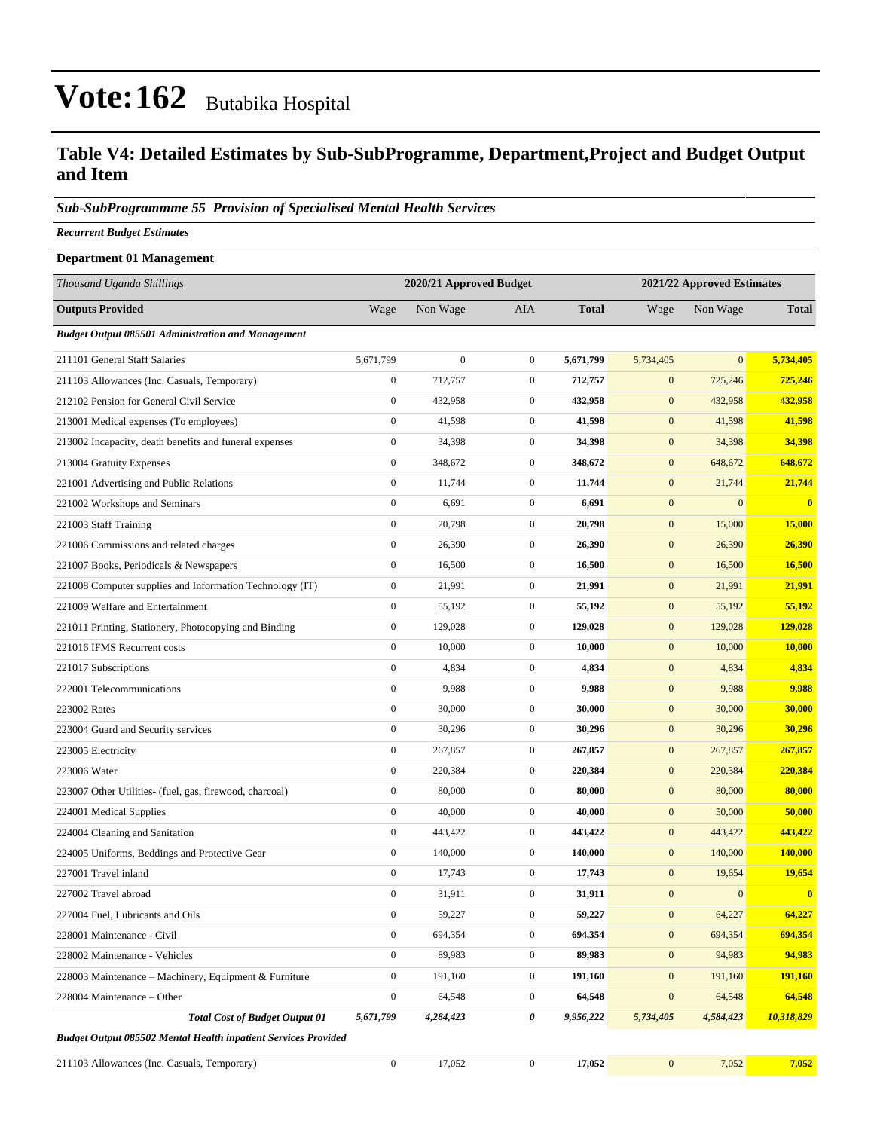#### **Table V4: Detailed Estimates by Sub-SubProgramme, Department,Project and Budget Output and Item**

#### *Sub-SubProgrammme 55 Provision of Specialised Mental Health Services*

*Recurrent Budget Estimates*

| <b>Department 01 Management</b>                                       |                         |              |                  |              |                            |              |              |
|-----------------------------------------------------------------------|-------------------------|--------------|------------------|--------------|----------------------------|--------------|--------------|
| Thousand Uganda Shillings                                             | 2020/21 Approved Budget |              |                  |              | 2021/22 Approved Estimates |              |              |
| <b>Outputs Provided</b>                                               | Wage                    | Non Wage     | <b>AIA</b>       | <b>Total</b> | Wage                       | Non Wage     | <b>Total</b> |
| <b>Budget Output 085501 Administration and Management</b>             |                         |              |                  |              |                            |              |              |
| 211101 General Staff Salaries                                         | 5,671,799               | $\mathbf{0}$ | $\mathbf{0}$     | 5,671,799    | 5,734,405                  | $\mathbf{0}$ | 5,734,405    |
| 211103 Allowances (Inc. Casuals, Temporary)                           | $\boldsymbol{0}$        | 712,757      | $\mathbf{0}$     | 712,757      | $\mathbf{0}$               | 725,246      | 725,246      |
| 212102 Pension for General Civil Service                              | $\boldsymbol{0}$        | 432,958      | $\mathbf{0}$     | 432,958      | $\mathbf{0}$               | 432,958      | 432,958      |
| 213001 Medical expenses (To employees)                                | $\boldsymbol{0}$        | 41,598       | $\boldsymbol{0}$ | 41,598       | $\boldsymbol{0}$           | 41,598       | 41,598       |
| 213002 Incapacity, death benefits and funeral expenses                | $\boldsymbol{0}$        | 34,398       | $\boldsymbol{0}$ | 34,398       | $\boldsymbol{0}$           | 34,398       | 34,398       |
| 213004 Gratuity Expenses                                              | $\boldsymbol{0}$        | 348,672      | $\mathbf{0}$     | 348,672      | $\mathbf{0}$               | 648,672      | 648,672      |
| 221001 Advertising and Public Relations                               | $\boldsymbol{0}$        | 11,744       | $\mathbf{0}$     | 11,744       | $\mathbf{0}$               | 21,744       | 21,744       |
| 221002 Workshops and Seminars                                         | $\boldsymbol{0}$        | 6,691        | $\mathbf{0}$     | 6,691        | $\boldsymbol{0}$           | $\mathbf{0}$ | $\mathbf{0}$ |
| 221003 Staff Training                                                 | $\boldsymbol{0}$        | 20,798       | $\mathbf{0}$     | 20,798       | $\boldsymbol{0}$           | 15,000       | 15,000       |
| 221006 Commissions and related charges                                | $\boldsymbol{0}$        | 26,390       | $\boldsymbol{0}$ | 26,390       | $\boldsymbol{0}$           | 26,390       | 26,390       |
| 221007 Books, Periodicals & Newspapers                                | $\boldsymbol{0}$        | 16,500       | $\mathbf{0}$     | 16,500       | $\mathbf{0}$               | 16,500       | 16,500       |
| 221008 Computer supplies and Information Technology (IT)              | $\boldsymbol{0}$        | 21,991       | $\mathbf{0}$     | 21,991       | $\mathbf{0}$               | 21,991       | 21,991       |
| 221009 Welfare and Entertainment                                      | $\boldsymbol{0}$        | 55,192       | $\boldsymbol{0}$ | 55,192       | $\boldsymbol{0}$           | 55,192       | 55,192       |
| 221011 Printing, Stationery, Photocopying and Binding                 | $\boldsymbol{0}$        | 129,028      | $\boldsymbol{0}$ | 129,028      | $\boldsymbol{0}$           | 129,028      | 129,028      |
| 221016 IFMS Recurrent costs                                           | $\boldsymbol{0}$        | 10,000       | $\boldsymbol{0}$ | 10,000       | $\boldsymbol{0}$           | 10,000       | 10,000       |
| 221017 Subscriptions                                                  | $\boldsymbol{0}$        | 4,834        | $\mathbf{0}$     | 4,834        | $\mathbf{0}$               | 4,834        | 4,834        |
| 222001 Telecommunications                                             | $\boldsymbol{0}$        | 9,988        | $\mathbf{0}$     | 9,988        | $\mathbf{0}$               | 9,988        | 9,988        |
| 223002 Rates                                                          | $\boldsymbol{0}$        | 30,000       | $\mathbf{0}$     | 30,000       | $\boldsymbol{0}$           | 30,000       | 30,000       |
| 223004 Guard and Security services                                    | $\boldsymbol{0}$        | 30,296       | $\boldsymbol{0}$ | 30,296       | $\boldsymbol{0}$           | 30,296       | 30,296       |
| 223005 Electricity                                                    | $\boldsymbol{0}$        | 267,857      | $\mathbf{0}$     | 267,857      | $\boldsymbol{0}$           | 267,857      | 267,857      |
| 223006 Water                                                          | $\boldsymbol{0}$        | 220,384      | $\mathbf{0}$     | 220,384      | $\mathbf{0}$               | 220,384      | 220,384      |
| 223007 Other Utilities- (fuel, gas, firewood, charcoal)               | $\boldsymbol{0}$        | 80,000       | $\mathbf{0}$     | 80,000       | $\mathbf{0}$               | 80,000       | 80,000       |
| 224001 Medical Supplies                                               | $\boldsymbol{0}$        | 40,000       | $\boldsymbol{0}$ | 40,000       | $\boldsymbol{0}$           | 50,000       | 50,000       |
| 224004 Cleaning and Sanitation                                        | $\boldsymbol{0}$        | 443,422      | $\boldsymbol{0}$ | 443,422      | $\boldsymbol{0}$           | 443,422      | 443,422      |
| 224005 Uniforms, Beddings and Protective Gear                         | $\boldsymbol{0}$        | 140,000      | $\boldsymbol{0}$ | 140,000      | $\boldsymbol{0}$           | 140,000      | 140,000      |
| 227001 Travel inland                                                  | $\boldsymbol{0}$        | 17,743       | $\mathbf{0}$     | 17,743       | $\mathbf{0}$               | 19,654       | 19,654       |
| 227002 Travel abroad                                                  | 0                       | 31,911       | $\bf{0}$         | 31,911       | $\mathbf{0}$               | $\mathbf{0}$ | $\mathbf{0}$ |
| 227004 Fuel, Lubricants and Oils                                      | $\boldsymbol{0}$        | 59,227       | $\boldsymbol{0}$ | 59,227       | $\boldsymbol{0}$           | 64,227       | 64,227       |
| 228001 Maintenance - Civil                                            | $\boldsymbol{0}$        | 694,354      | $\boldsymbol{0}$ | 694,354      | $\boldsymbol{0}$           | 694,354      | 694,354      |
| 228002 Maintenance - Vehicles                                         | $\boldsymbol{0}$        | 89,983       | $\boldsymbol{0}$ | 89,983       | $\boldsymbol{0}$           | 94,983       | 94,983       |
| 228003 Maintenance – Machinery, Equipment & Furniture                 | $\boldsymbol{0}$        | 191,160      | $\boldsymbol{0}$ | 191,160      | $\boldsymbol{0}$           | 191,160      | 191,160      |
| 228004 Maintenance – Other                                            | $\boldsymbol{0}$        | 64,548       | $\boldsymbol{0}$ | 64,548       | $\boldsymbol{0}$           | 64,548       | 64,548       |
| <b>Total Cost of Budget Output 01</b>                                 | 5,671,799               | 4,284,423    | 0                | 9,956,222    | 5,734,405                  | 4,584,423    | 10,318,829   |
| <b>Budget Output 085502 Mental Health inpatient Services Provided</b> |                         |              |                  |              |                            |              |              |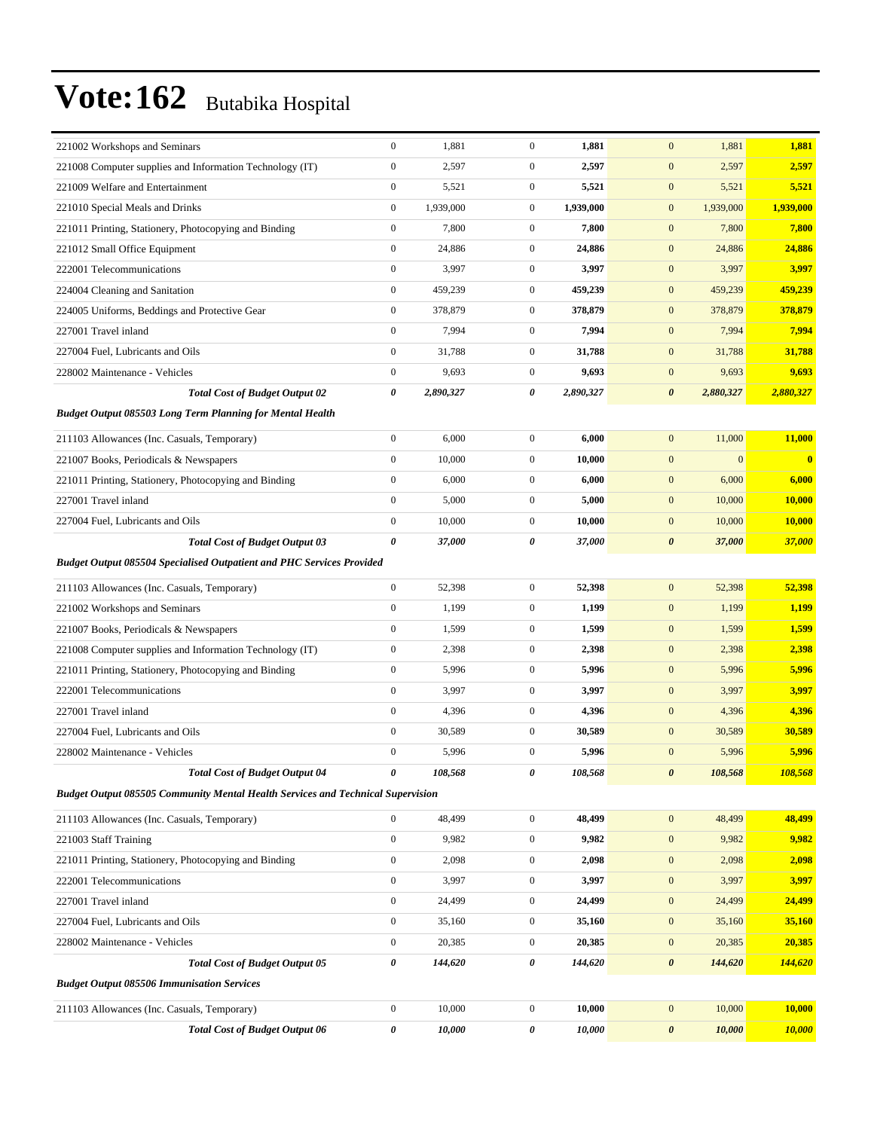| 221002 Workshops and Seminars                                                          | $\boldsymbol{0}$ | 1,881     | $\mathbf{0}$     | 1,881     | $\mathbf{0}$<br>1,881              | 1,881         |
|----------------------------------------------------------------------------------------|------------------|-----------|------------------|-----------|------------------------------------|---------------|
| 221008 Computer supplies and Information Technology (IT)                               | $\boldsymbol{0}$ | 2,597     | $\boldsymbol{0}$ | 2,597     | $\mathbf{0}$<br>2,597              | 2,597         |
| 221009 Welfare and Entertainment                                                       | $\boldsymbol{0}$ | 5,521     | $\boldsymbol{0}$ | 5,521     | $\mathbf{0}$<br>5,521              | 5,521         |
| 221010 Special Meals and Drinks                                                        | $\boldsymbol{0}$ | 1,939,000 | $\boldsymbol{0}$ | 1,939,000 | $\mathbf{0}$<br>1,939,000          | 1,939,000     |
| 221011 Printing, Stationery, Photocopying and Binding                                  | $\mathbf{0}$     | 7,800     | $\boldsymbol{0}$ | 7,800     | $\mathbf{0}$<br>7,800              | 7,800         |
| 221012 Small Office Equipment                                                          | $\boldsymbol{0}$ | 24,886    | $\boldsymbol{0}$ | 24,886    | $\mathbf{0}$<br>24,886             | 24,886        |
| 222001 Telecommunications                                                              | $\boldsymbol{0}$ | 3,997     | $\boldsymbol{0}$ | 3,997     | $\mathbf{0}$<br>3,997              | 3,997         |
| 224004 Cleaning and Sanitation                                                         | $\boldsymbol{0}$ | 459,239   | $\mathbf{0}$     | 459,239   | $\mathbf{0}$<br>459,239            | 459,239       |
| 224005 Uniforms, Beddings and Protective Gear                                          | $\boldsymbol{0}$ | 378,879   | $\mathbf{0}$     | 378,879   | $\mathbf{0}$<br>378,879            | 378,879       |
| 227001 Travel inland                                                                   | $\mathbf{0}$     | 7,994     | $\boldsymbol{0}$ | 7,994     | $\mathbf{0}$<br>7,994              | 7,994         |
| 227004 Fuel, Lubricants and Oils                                                       | $\boldsymbol{0}$ | 31,788    | $\boldsymbol{0}$ | 31,788    | $\mathbf{0}$<br>31,788             | 31,788        |
| 228002 Maintenance - Vehicles                                                          | $\boldsymbol{0}$ | 9,693     | $\boldsymbol{0}$ | 9,693     | $\mathbf{0}$<br>9,693              | 9,693         |
| <b>Total Cost of Budget Output 02</b>                                                  | 0                | 2,890,327 | 0                | 2,890,327 | $\boldsymbol{\theta}$<br>2,880,327 | 2,880,327     |
| <b>Budget Output 085503 Long Term Planning for Mental Health</b>                       |                  |           |                  |           |                                    |               |
| 211103 Allowances (Inc. Casuals, Temporary)                                            | $\boldsymbol{0}$ | 6,000     | $\boldsymbol{0}$ | 6,000     | $\mathbf{0}$<br>11,000             | 11,000        |
| 221007 Books, Periodicals & Newspapers                                                 | $\boldsymbol{0}$ | 10,000    | $\boldsymbol{0}$ | 10,000    | $\mathbf{0}$<br>$\mathbf{0}$       | $\bf{0}$      |
| 221011 Printing, Stationery, Photocopying and Binding                                  | $\boldsymbol{0}$ | 6,000     | $\boldsymbol{0}$ | 6,000     | $\mathbf{0}$<br>6,000              | 6,000         |
| 227001 Travel inland                                                                   | $\mathbf{0}$     | 5,000     | $\boldsymbol{0}$ | 5,000     | $\mathbf{0}$<br>10,000             | 10,000        |
| 227004 Fuel, Lubricants and Oils                                                       | $\boldsymbol{0}$ | 10,000    | $\boldsymbol{0}$ | 10,000    | $\mathbf{0}$<br>10,000             | 10,000        |
| <b>Total Cost of Budget Output 03</b>                                                  | $\pmb{\theta}$   | 37,000    | 0                | 37,000    | 37,000<br>$\boldsymbol{\theta}$    | 37,000        |
| <b>Budget Output 085504 Specialised Outpatient and PHC Services Provided</b>           |                  |           |                  |           |                                    |               |
| 211103 Allowances (Inc. Casuals, Temporary)                                            | $\boldsymbol{0}$ | 52,398    | $\boldsymbol{0}$ | 52,398    | $\mathbf{0}$<br>52,398             | 52,398        |
| 221002 Workshops and Seminars                                                          | $\boldsymbol{0}$ | 1,199     | $\boldsymbol{0}$ | 1,199     | $\mathbf{0}$<br>1,199              | 1,199         |
| 221007 Books, Periodicals & Newspapers                                                 | $\boldsymbol{0}$ | 1,599     | $\boldsymbol{0}$ | 1,599     | $\mathbf{0}$<br>1,599              | 1,599         |
| 221008 Computer supplies and Information Technology (IT)                               | $\boldsymbol{0}$ | 2,398     | $\mathbf{0}$     | 2,398     | $\mathbf{0}$<br>2,398              | 2,398         |
| 221011 Printing, Stationery, Photocopying and Binding                                  | $\boldsymbol{0}$ | 5,996     | $\boldsymbol{0}$ | 5,996     | $\mathbf{0}$<br>5,996              | 5,996         |
| 222001 Telecommunications                                                              | $\mathbf{0}$     | 3,997     | $\boldsymbol{0}$ | 3,997     | $\mathbf{0}$<br>3,997              | 3,997         |
| 227001 Travel inland                                                                   | $\boldsymbol{0}$ | 4,396     | $\boldsymbol{0}$ | 4,396     | $\mathbf{0}$<br>4,396              | 4,396         |
| 227004 Fuel, Lubricants and Oils                                                       | $\mathbf{0}$     | 30,589    | $\boldsymbol{0}$ | 30,589    | $\mathbf{0}$<br>30,589             | 30,589        |
| 228002 Maintenance - Vehicles                                                          | $\boldsymbol{0}$ | 5,996     | $\boldsymbol{0}$ | 5,996     | $\mathbf{0}$<br>5,996              | 5,996         |
| <b>Total Cost of Budget Output 04</b>                                                  | 0                | 108,568   | 0                | 108,568   | 108,568<br>$\boldsymbol{\theta}$   | 108,568       |
| <b>Budget Output 085505 Community Mental Health Services and Technical Supervision</b> |                  |           |                  |           |                                    |               |
| 211103 Allowances (Inc. Casuals, Temporary)                                            | $\boldsymbol{0}$ | 48,499    | $\boldsymbol{0}$ | 48,499    | $\boldsymbol{0}$<br>48,499         | 48,499        |
| 221003 Staff Training                                                                  | $\boldsymbol{0}$ | 9,982     | $\boldsymbol{0}$ | 9,982     | $\mathbf{0}$<br>9,982              | 9,982         |
| 221011 Printing, Stationery, Photocopying and Binding                                  | $\boldsymbol{0}$ | 2,098     | $\boldsymbol{0}$ | 2,098     | $\boldsymbol{0}$<br>2,098          | 2,098         |
| 222001 Telecommunications                                                              | $\boldsymbol{0}$ | 3,997     | $\boldsymbol{0}$ | 3,997     | $\mathbf{0}$<br>3,997              | 3,997         |
| 227001 Travel inland                                                                   | $\boldsymbol{0}$ | 24,499    | $\boldsymbol{0}$ | 24,499    | $\boldsymbol{0}$<br>24,499         | 24,499        |
| 227004 Fuel, Lubricants and Oils                                                       | $\boldsymbol{0}$ | 35,160    | $\boldsymbol{0}$ | 35,160    | $\boldsymbol{0}$<br>35,160         | 35,160        |
| 228002 Maintenance - Vehicles                                                          | $\boldsymbol{0}$ | 20,385    | 0                | 20,385    | $\mathbf{0}$<br>20,385             | 20,385        |
| <b>Total Cost of Budget Output 05</b>                                                  | $\pmb{\theta}$   | 144,620   | 0                | 144,620   | $\boldsymbol{\theta}$<br>144,620   | 144,620       |
| <b>Budget Output 085506 Immunisation Services</b>                                      |                  |           |                  |           |                                    |               |
| 211103 Allowances (Inc. Casuals, Temporary)                                            | $\boldsymbol{0}$ | 10,000    | $\boldsymbol{0}$ | 10,000    | $\mathbf{0}$<br>10,000             | 10,000        |
| <b>Total Cost of Budget Output 06</b>                                                  | $\pmb{\theta}$   | 10,000    | 0                | 10,000    | 10,000<br>$\boldsymbol{\theta}$    | <b>10,000</b> |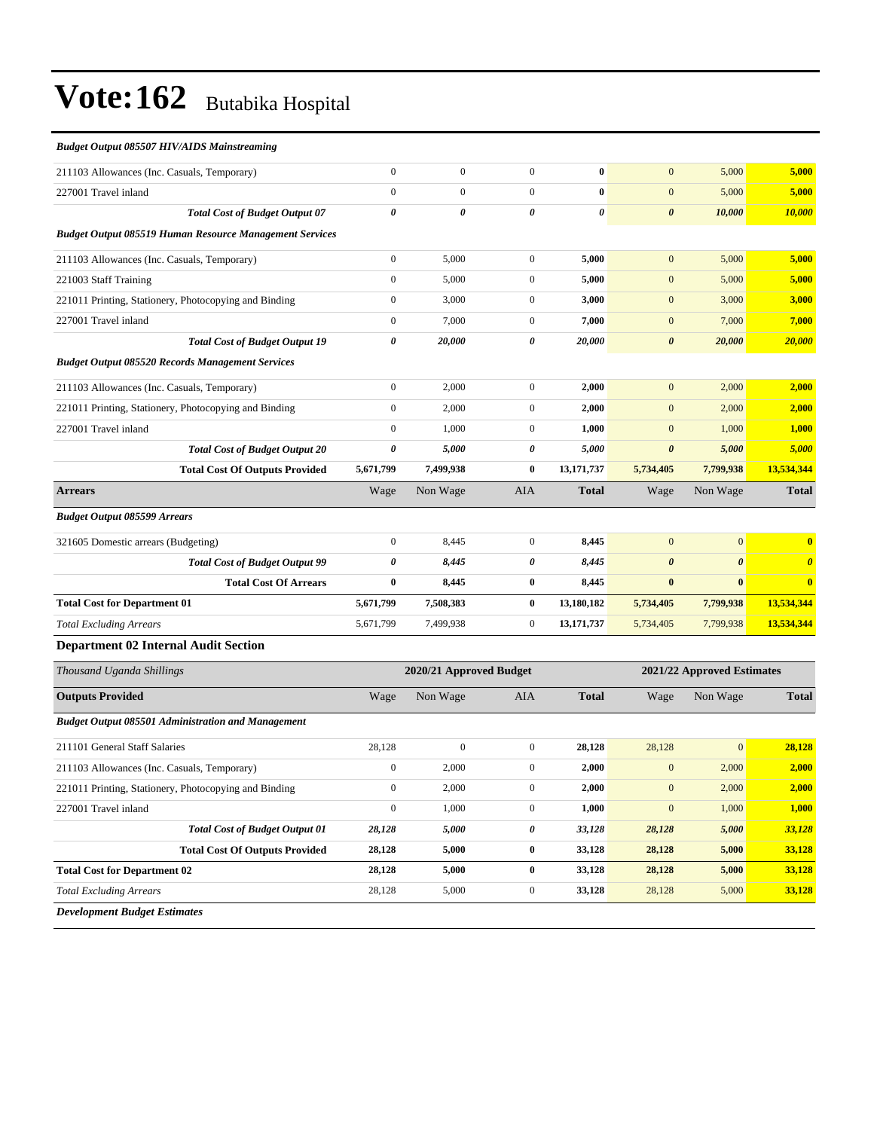| <b>Budget Output 085507 HIV/AIDS Mainstreaming</b>             |                  |                         |                |                       |                            |                       |                         |
|----------------------------------------------------------------|------------------|-------------------------|----------------|-----------------------|----------------------------|-----------------------|-------------------------|
| 211103 Allowances (Inc. Casuals, Temporary)                    | $\overline{0}$   | $\overline{0}$          | $\overline{0}$ | $\bf{0}$              | $\mathbf{0}$               | 5,000                 | 5,000                   |
| 227001 Travel inland                                           | $\boldsymbol{0}$ | $\boldsymbol{0}$        | $\mathbf{0}$   | $\bf{0}$              | $\mathbf{0}$               | 5,000                 | 5,000                   |
| <b>Total Cost of Budget Output 07</b>                          | 0                | $\theta$                | 0              | $\boldsymbol{\theta}$ | $\boldsymbol{\theta}$      | 10,000                | 10,000                  |
| <b>Budget Output 085519 Human Resource Management Services</b> |                  |                         |                |                       |                            |                       |                         |
| 211103 Allowances (Inc. Casuals, Temporary)                    | $\boldsymbol{0}$ | 5.000                   | $\mathbf{0}$   | 5.000                 | $\mathbf{0}$               | 5,000                 | 5,000                   |
| 221003 Staff Training                                          | $\boldsymbol{0}$ | 5,000                   | $\mathbf{0}$   | 5,000                 | $\mathbf{0}$               | 5,000                 | 5,000                   |
| 221011 Printing, Stationery, Photocopying and Binding          | $\overline{0}$   | 3,000                   | $\mathbf{0}$   | 3,000                 | $\mathbf{0}$               | 3,000                 | 3,000                   |
| 227001 Travel inland                                           | $\boldsymbol{0}$ | 7,000                   | $\mathbf{0}$   | 7,000                 | $\mathbf{0}$               | 7,000                 | 7,000                   |
| <b>Total Cost of Budget Output 19</b>                          | 0                | 20,000                  | 0              | 20,000                | $\boldsymbol{\theta}$      | 20,000                | 20,000                  |
| <b>Budget Output 085520 Records Management Services</b>        |                  |                         |                |                       |                            |                       |                         |
| 211103 Allowances (Inc. Casuals, Temporary)                    | $\boldsymbol{0}$ | 2,000                   | $\mathbf{0}$   | 2,000                 | $\mathbf{0}$               | 2,000                 | 2,000                   |
| 221011 Printing, Stationery, Photocopying and Binding          | $\boldsymbol{0}$ | 2,000                   | $\mathbf{0}$   | 2,000                 | $\mathbf{0}$               | 2,000                 | 2,000                   |
| 227001 Travel inland                                           | $\overline{0}$   | 1,000                   | $\mathbf{0}$   | 1,000                 | $\mathbf{0}$               | 1,000                 | 1,000                   |
| <b>Total Cost of Budget Output 20</b>                          | 0                | 5,000                   | 0              | 5,000                 | $\boldsymbol{\theta}$      | 5,000                 | 5,000                   |
| <b>Total Cost Of Outputs Provided</b>                          | 5,671,799        | 7,499,938               | $\bf{0}$       | 13,171,737            | 5,734,405                  | 7,799,938             | 13,534,344              |
| <b>Arrears</b>                                                 | Wage             | Non Wage                | <b>AIA</b>     | <b>Total</b>          | Wage                       | Non Wage              | <b>Total</b>            |
| <b>Budget Output 085599 Arrears</b>                            |                  |                         |                |                       |                            |                       |                         |
| 321605 Domestic arrears (Budgeting)                            | $\overline{0}$   | 8,445                   | $\mathbf{0}$   | 8,445                 | $\mathbf{0}$               | $\mathbf{0}$          | $\overline{\mathbf{0}}$ |
| <b>Total Cost of Budget Output 99</b>                          | 0                | 8,445                   | 0              | 8,445                 | $\boldsymbol{\theta}$      | $\boldsymbol{\theta}$ | $\boldsymbol{\theta}$   |
| <b>Total Cost Of Arrears</b>                                   | $\bf{0}$         | 8,445                   | $\bf{0}$       | 8,445                 | $\bf{0}$                   | $\mathbf{0}$          | $\overline{\mathbf{0}}$ |
| <b>Total Cost for Department 01</b>                            | 5,671,799        | 7,508,383               | $\bf{0}$       | 13,180,182            | 5,734,405                  | 7,799,938             | 13,534,344              |
| <b>Total Excluding Arrears</b>                                 | 5,671,799        | 7,499,938               | $\mathbf{0}$   | 13,171,737            | 5,734,405                  | 7,799,938             | 13,534,344              |
| <b>Department 02 Internal Audit Section</b>                    |                  |                         |                |                       |                            |                       |                         |
| Thousand Uganda Shillings                                      |                  | 2020/21 Approved Budget |                |                       | 2021/22 Approved Estimates |                       |                         |
| <b>Outputs Provided</b>                                        | Wage             | Non Wage                | <b>AIA</b>     | <b>Total</b>          | Wage                       | Non Wage              | <b>Total</b>            |
| <b>Budget Output 085501 Administration and Management</b>      |                  |                         |                |                       |                            |                       |                         |
|                                                                |                  |                         |                |                       |                            |                       |                         |

| 211101 General Staff Salaries                         | 28,128         | $\overline{0}$ | $\mathbf{0}$ | 28,128 | 28,128         | $\vert 0 \vert$ | 28,128 |
|-------------------------------------------------------|----------------|----------------|--------------|--------|----------------|-----------------|--------|
| 211103 Allowances (Inc. Casuals, Temporary)           | $\mathbf{0}$   | 2,000          | $\mathbf{0}$ | 2,000  | $\overline{0}$ | 2,000           | 2,000  |
| 221011 Printing, Stationery, Photocopying and Binding | $\overline{0}$ | 2,000          | $\mathbf{0}$ | 2,000  | $\overline{0}$ | 2,000           | 2.000  |
| 227001 Travel inland                                  | $\overline{0}$ | 1,000          | $\mathbf{0}$ | 1,000  | $\mathbf{0}$   | 1,000           | 1.000  |
| <b>Total Cost of Budget Output 01</b>                 | 28,128         | 5,000          | 0            | 33,128 | 28,128         | 5,000           | 33,128 |
| <b>Total Cost Of Outputs Provided</b>                 | 28,128         | 5,000          | $\bf{0}$     | 33,128 | 28,128         | 5,000           | 33,128 |
| <b>Total Cost for Department 02</b>                   | 28,128         | 5,000          | $\bf{0}$     | 33,128 | 28,128         | 5,000           | 33,128 |
| <b>Total Excluding Arrears</b>                        | 28,128         | 5,000          | $\mathbf{0}$ | 33,128 | 28,128         | 5,000           | 33,128 |
| <b>Development Budget Estimates</b>                   |                |                |              |        |                |                 |        |